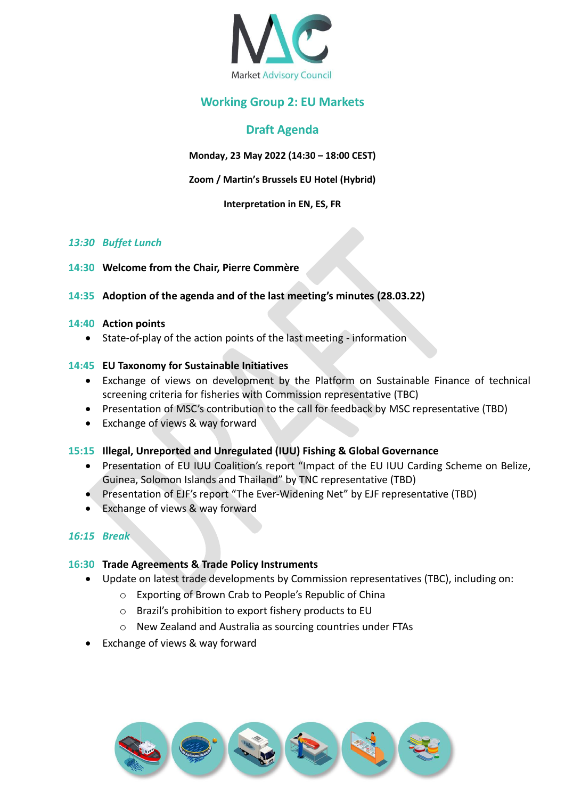

## **Working Group 2: EU Markets**

# **Draft Agenda**

**Monday, 23 May 2022 (14:30 – 18:00 CEST)**

**Zoom / Martin's Brussels EU Hotel (Hybrid)**

#### **Interpretation in EN, ES, FR**

## *13:30 Buffet Lunch*

**14:30 Welcome from the Chair, Pierre Commère**

## **14:35 Adoption of the agenda and of the last meeting's minutes (28.03.22)**

#### **14:40 Action points**

• State-of-play of the action points of the last meeting - information

## **14:45 EU Taxonomy for Sustainable Initiatives**

- Exchange of views on development by the Platform on Sustainable Finance of technical screening criteria for fisheries with Commission representative (TBC)
- Presentation of MSC's contribution to the call for feedback by MSC representative (TBD)
- Exchange of views & way forward

## **15:15 Illegal, Unreported and Unregulated (IUU) Fishing & Global Governance**

- Presentation of EU IUU Coalition's report "Impact of the EU IUU Carding Scheme on Belize, Guinea, Solomon Islands and Thailand" by TNC representative (TBD)
- Presentation of EJF's report "The Ever-Widening Net" by EJF representative (TBD)
- Exchange of views & way forward

## *16:15 Break*

## **16:30 Trade Agreements & Trade Policy Instruments**

- Update on latest trade developments by Commission representatives (TBC), including on:
	- o Exporting of Brown Crab to People's Republic of China
	- o Brazil's prohibition to export fishery products to EU
	- o New Zealand and Australia as sourcing countries under FTAs
- Exchange of views & way forward

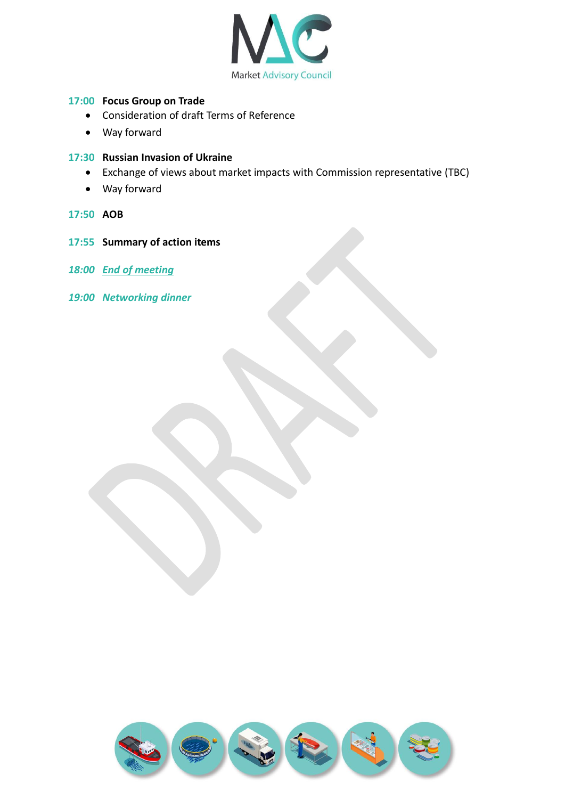

## **17:00 Focus Group on Trade**

- Consideration of draft Terms of Reference
- Way forward

#### **17:30 Russian Invasion of Ukraine**

- Exchange of views about market impacts with Commission representative (TBC)
- Way forward
- **17:50 AOB**
- **17:55 Summary of action items**
- *18:00 End of meeting*
- *19:00 Networking dinner*

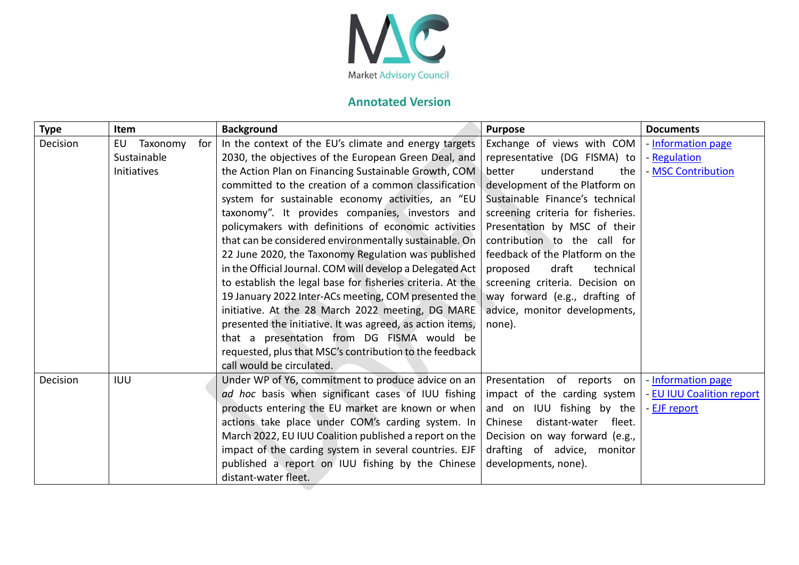

# **Annotated Version**

| <b>Type</b> | Item           |     | <b>Background</b>                                          | <b>Purpose</b>                    | <b>Documents</b>          |
|-------------|----------------|-----|------------------------------------------------------------|-----------------------------------|---------------------------|
| Decision    | Taxonomy<br>EU | for | In the context of the EU's climate and energy targets      | Exchange of views with COM        | - Information page        |
|             | Sustainable    |     | 2030, the objectives of the European Green Deal, and       | representative (DG FISMA) to      | - Regulation              |
|             | Initiatives    |     | the Action Plan on Financing Sustainable Growth, COM       | understand<br>better<br>the       | - MSC Contribution        |
|             |                |     | committed to the creation of a common classification       | development of the Platform on    |                           |
|             |                |     | system for sustainable economy activities, an "EU          | Sustainable Finance's technical   |                           |
|             |                |     | taxonomy". It provides companies, investors and            | screening criteria for fisheries. |                           |
|             |                |     | policymakers with definitions of economic activities       | Presentation by MSC of their      |                           |
|             |                |     | that can be considered environmentally sustainable. On     | contribution to the call for      |                           |
|             |                |     | 22 June 2020, the Taxonomy Regulation was published        | feedback of the Platform on the   |                           |
|             |                |     | in the Official Journal. COM will develop a Delegated Act  | draft<br>proposed<br>technical    |                           |
|             |                |     | to establish the legal base for fisheries criteria. At the | screening criteria. Decision on   |                           |
|             |                |     | 19 January 2022 Inter-ACs meeting, COM presented the       | way forward (e.g., drafting of    |                           |
|             |                |     | initiative. At the 28 March 2022 meeting, DG MARE          | advice, monitor developments,     |                           |
|             |                |     | presented the initiative. It was agreed, as action items,  | none).                            |                           |
|             |                |     | that a presentation from DG FISMA would be                 |                                   |                           |
|             |                |     | requested, plus that MSC's contribution to the feedback    |                                   |                           |
|             |                |     | call would be circulated.                                  |                                   |                           |
| Decision    | <b>IUU</b>     |     | Under WP of Y6, commitment to produce advice on an         | Presentation of reports on        | - Information page        |
|             |                |     | ad hoc basis when significant cases of IUU fishing         | impact of the carding system      | - EU IUU Coalition report |
|             |                |     | products entering the EU market are known or when          | and on IUU fishing by the         | - EJF report              |
|             |                |     | actions take place under COM's carding system. In          | Chinese<br>distant-water fleet.   |                           |
|             |                |     | March 2022, EU IUU Coalition published a report on the     | Decision on way forward (e.g.,    |                           |
|             |                |     | impact of the carding system in several countries. EJF     | drafting of advice, monitor       |                           |
|             |                |     | published a report on IUU fishing by the Chinese           | developments, none).              |                           |
|             |                |     | distant-water fleet.                                       |                                   |                           |